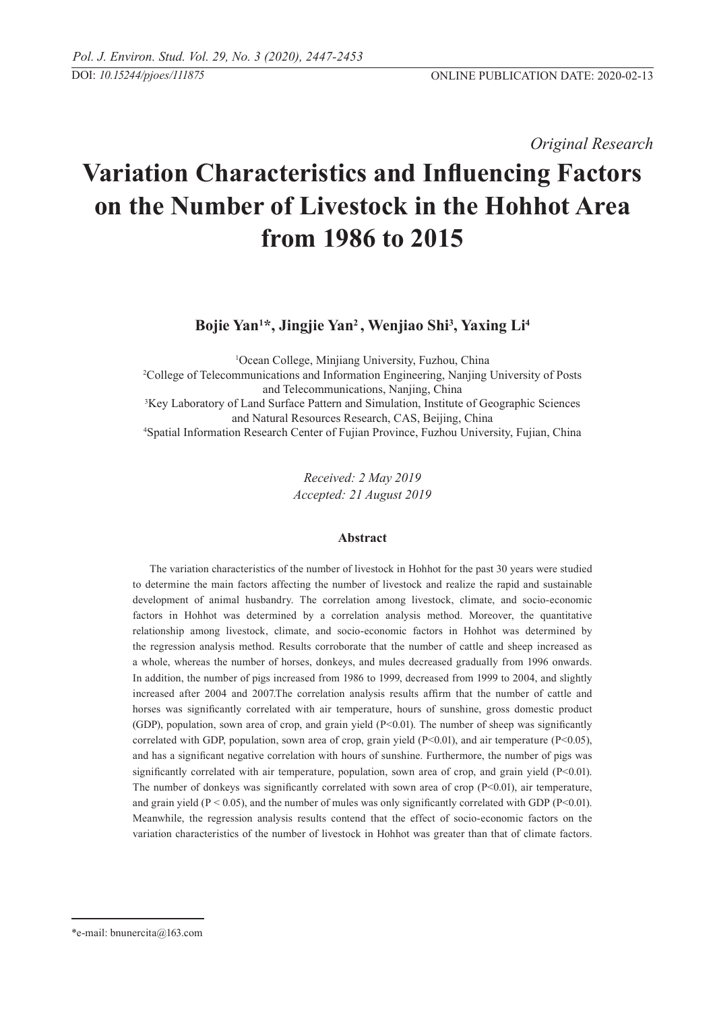*Original Research* 

# **Variation Characteristics and Influencing Factors on the Number of Livestock in the Hohhot Area from 1986 to 2015**

 **Bojie Yan<sup>1</sup> \*, Jingjie Yan2 , Wenjiao Shi3 , Yaxing Li<sup>4</sup>**

<sup>1</sup>Ocean College, Minjiang University, Fuzhou, China <sup>1</sup>Ocean College, Minjiang University, Fuzhou, China<br><sup>2</sup>College of Telecommunications and Information Engineering, Nanjing University of Posts and Telecommunications, Nanjing, China<br><sup>3</sup>Key Laboratory of Land Surface Pattern and Simulation, Institute of Geographic Sciences and Natural Resources Research, CAS, Beijing, China 4 <sup>4</sup>Spatial Information Research Center of Fujian Province, Fuzhou University, Fujian, China

> *Received: 2 May 2019 Accepted: 21 August 2019*

# **Abstract**

The variation characteristics of the number of livestock in Hohhot for the past 30 years were studied to determine the main factors affecting the number of livestock and realize the rapid and sustainable development of animal husbandry. The correlation among livestock, climate, and socio-economic factors in Hohhot was determined by a correlation analysis method. Moreover, the quantitative relationship among livestock, climate, and socio-economic factors in Hohhot was determined by the regression analysis method. Results corroborate that the number of cattle and sheep increased as a whole, whereas the number of horses, donkeys, and mules decreased gradually from 1996 onwards. In addition, the number of pigs increased from 1986 to 1999, decreased from 1999 to 2004, and slightly increased after 2004 and 2007.The correlation analysis results affirm that the number of cattle and horses was significantly correlated with air temperature, hours of sunshine, gross domestic product (GDP), population, sown area of crop, and grain yield (P<0.01). The number of sheep was significantly correlated with GDP, population, sown area of crop, grain yield  $(P<0.01)$ , and air temperature  $(P<0.05)$ , and has a significant negative correlation with hours of sunshine. Furthermore, the number of pigs was significantly correlated with air temperature, population, sown area of crop, and grain yield  $(P<0.01)$ . The number of donkeys was significantly correlated with sown area of crop (P<0.01), air temperature, and grain yield ( $P < 0.05$ ), and the number of mules was only significantly correlated with GDP ( $P < 0.01$ ). Meanwhile, the regression analysis results contend that the effect of socio-economic factors on the variation characteristics of the number of livestock in Hohhot was greater than that of climate factors.

<sup>\*</sup>e-mail: bnunercita@163.com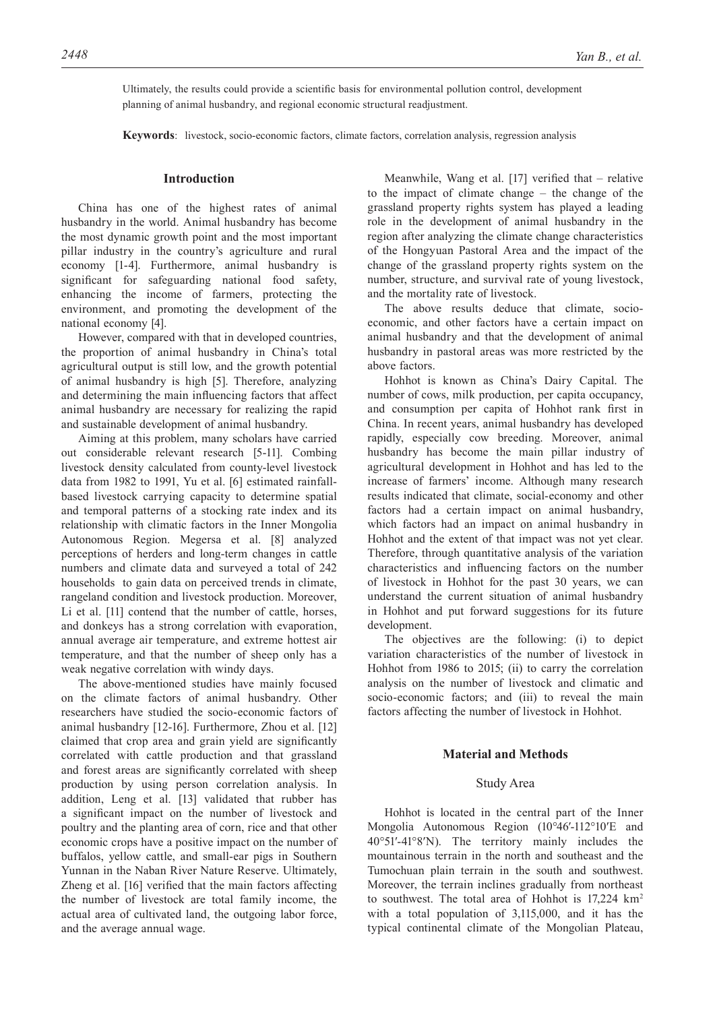Ultimately, the results could provide a scientific basis for environmental pollution control, development planning of animal husbandry, and regional economic structural readjustment.

**Keywords**: livestock, socio-economic factors, climate factors, correlation analysis, regression analysis

# **Introduction**

China has one of the highest rates of animal husbandry in the world. Animal husbandry has become the most dynamic growth point and the most important pillar industry in the country's agriculture and rural economy [1-4]. Furthermore, animal husbandry is significant for safeguarding national food safety, enhancing the income of farmers, protecting the environment, and promoting the development of the national economy [4].

However, compared with that in developed countries, the proportion of animal husbandry in China's total agricultural output is still low, and the growth potential of animal husbandry is high [5]. Therefore, analyzing and determining the main influencing factors that affect animal husbandry are necessary for realizing the rapid and sustainable development of animal husbandry.

Aiming at this problem, many scholars have carried out considerable relevant research [5-11]. Combing livestock density calculated from county-level livestock data from 1982 to 1991, Yu et al. [6] estimated rainfallbased livestock carrying capacity to determine spatial and temporal patterns of a stocking rate index and its relationship with climatic factors in the Inner Mongolia Autonomous Region. Megersa et al. [8] analyzed perceptions of herders and long-term changes in cattle numbers and climate data and surveyed a total of 242 households to gain data on perceived trends in climate, rangeland condition and livestock production. Moreover, Li et al. [11] contend that the number of cattle, horses, and donkeys has a strong correlation with evaporation, annual average air temperature, and extreme hottest air temperature, and that the number of sheep only has a weak negative correlation with windy days.

The above-mentioned studies have mainly focused on the climate factors of animal husbandry. Other researchers have studied the socio-economic factors of animal husbandry [12-16]. Furthermore, Zhou et al. [12] claimed that crop area and grain yield are significantly correlated with cattle production and that grassland and forest areas are significantly correlated with sheep production by using person correlation analysis. In addition, Leng et al. [13] validated that rubber has a significant impact on the number of livestock and poultry and the planting area of corn, rice and that other economic crops have a positive impact on the number of buffalos, yellow cattle, and small-ear pigs in Southern Yunnan in the Naban River Nature Reserve. Ultimately, Zheng et al. [16] verified that the main factors affecting the number of livestock are total family income, the actual area of cultivated land, the outgoing labor force, and the average annual wage.

Meanwhile, Wang et al. [17] verified that – relative to the impact of climate change – the change of the grassland property rights system has played a leading role in the development of animal husbandry in the region after analyzing the climate change characteristics of the Hongyuan Pastoral Area and the impact of the change of the grassland property rights system on the number, structure, and survival rate of young livestock, and the mortality rate of livestock.

The above results deduce that climate, socioeconomic, and other factors have a certain impact on animal husbandry and that the development of animal husbandry in pastoral areas was more restricted by the above factors.

Hohhot is known as China's Dairy Capital. The number of cows, milk production, per capita occupancy, and consumption per capita of Hohhot rank first in China. In recent years, animal husbandry has developed rapidly, especially cow breeding. Moreover, animal husbandry has become the main pillar industry of agricultural development in Hohhot and has led to the increase of farmers' income. Although many research results indicated that climate, social-economy and other factors had a certain impact on animal husbandry, which factors had an impact on animal husbandry in Hohhot and the extent of that impact was not yet clear. Therefore, through quantitative analysis of the variation characteristics and influencing factors on the number of livestock in Hohhot for the past 30 years, we can understand the current situation of animal husbandry in Hohhot and put forward suggestions for its future development.

The objectives are the following: (i) to depict variation characteristics of the number of livestock in Hohhot from 1986 to 2015; (ii) to carry the correlation analysis on the number of livestock and climatic and socio-economic factors; and (iii) to reveal the main factors affecting the number of livestock in Hohhot.

## **Material and Methods**

### Study Area

Hohhot is located in the central part of the Inner Mongolia Autonomous Region (10°46′-112°10′E and 40°51′-41°8′N). The territory mainly includes the mountainous terrain in the north and southeast and the Tumochuan plain terrain in the south and southwest. Moreover, the terrain inclines gradually from northeast to southwest. The total area of Hohhot is 17,224 km<sup>2</sup> with a total population of 3,115,000, and it has the typical continental climate of the Mongolian Plateau,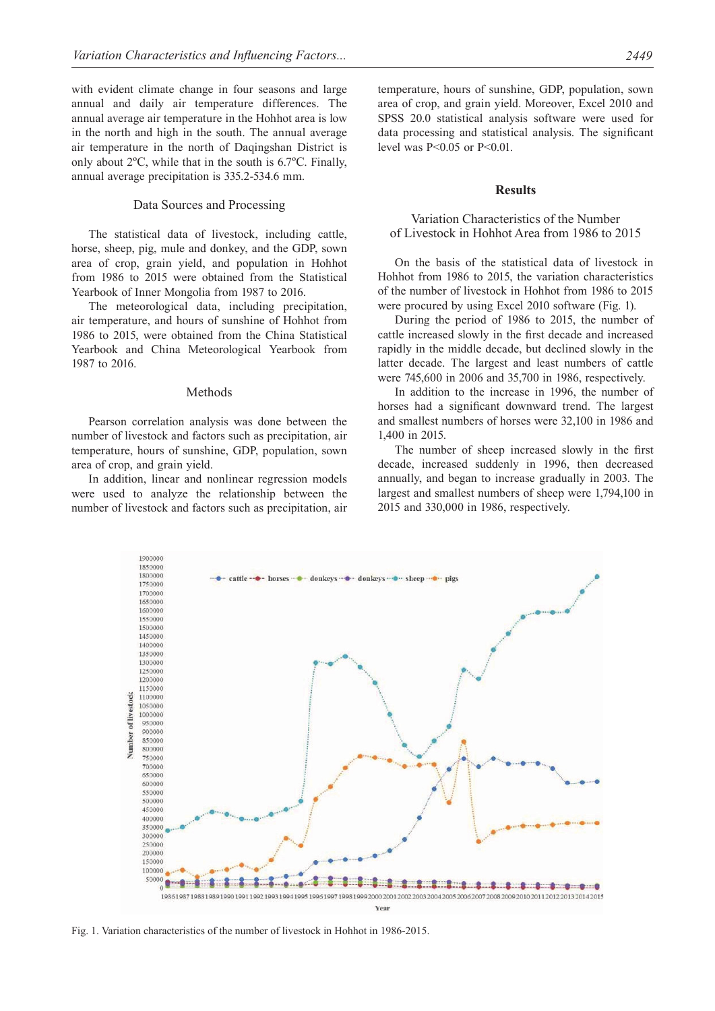with evident climate change in four seasons and large annual and daily air temperature differences. The annual average air temperature in the Hohhot area is low in the north and high in the south. The annual average air temperature in the north of Daqingshan District is only about 2ºC, while that in the south is 6.7ºC. Finally, annual average precipitation is 335.2-534.6 mm.

## Data Sources and Processing

The statistical data of livestock, including cattle, horse, sheep, pig, mule and donkey, and the GDP, sown area of crop, grain yield, and population in Hohhot from 1986 to 2015 were obtained from the Statistical Yearbook of Inner Mongolia from 1987 to 2016.

The meteorological data, including precipitation, air temperature, and hours of sunshine of Hohhot from 1986 to 2015, were obtained from the China Statistical Yearbook and China Meteorological Yearbook from 1987 to 2016.

#### Methods

Pearson correlation analysis was done between the number of livestock and factors such as precipitation, air temperature, hours of sunshine, GDP, population, sown area of crop, and grain yield.

In addition, linear and nonlinear regression models were used to analyze the relationship between the number of livestock and factors such as precipitation, air temperature, hours of sunshine, GDP, population, sown area of crop, and grain yield. Moreover, Excel 2010 and SPSS 20.0 statistical analysis software were used for data processing and statistical analysis. The significant level was P<0.05 or P<0.01.

## **Results**

# Variation Characteristics of the Number of Livestock in Hohhot Area from 1986 to 2015

On the basis of the statistical data of livestock in Hohhot from 1986 to 2015, the variation characteristics of the number of livestock in Hohhot from 1986 to 2015 were procured by using Excel 2010 software (Fig. 1).

During the period of 1986 to 2015, the number of cattle increased slowly in the first decade and increased rapidly in the middle decade, but declined slowly in the latter decade. The largest and least numbers of cattle were 745,600 in 2006 and 35,700 in 1986, respectively.

In addition to the increase in 1996, the number of horses had a significant downward trend. The largest and smallest numbers of horses were 32,100 in 1986 and 1,400 in 2015.

The number of sheep increased slowly in the first decade, increased suddenly in 1996, then decreased annually, and began to increase gradually in 2003. The largest and smallest numbers of sheep were 1,794,100 in 2015 and 330,000 in 1986, respectively.



Fig. 1. Variation characteristics of the number of livestock in Hohhot in 1986-2015.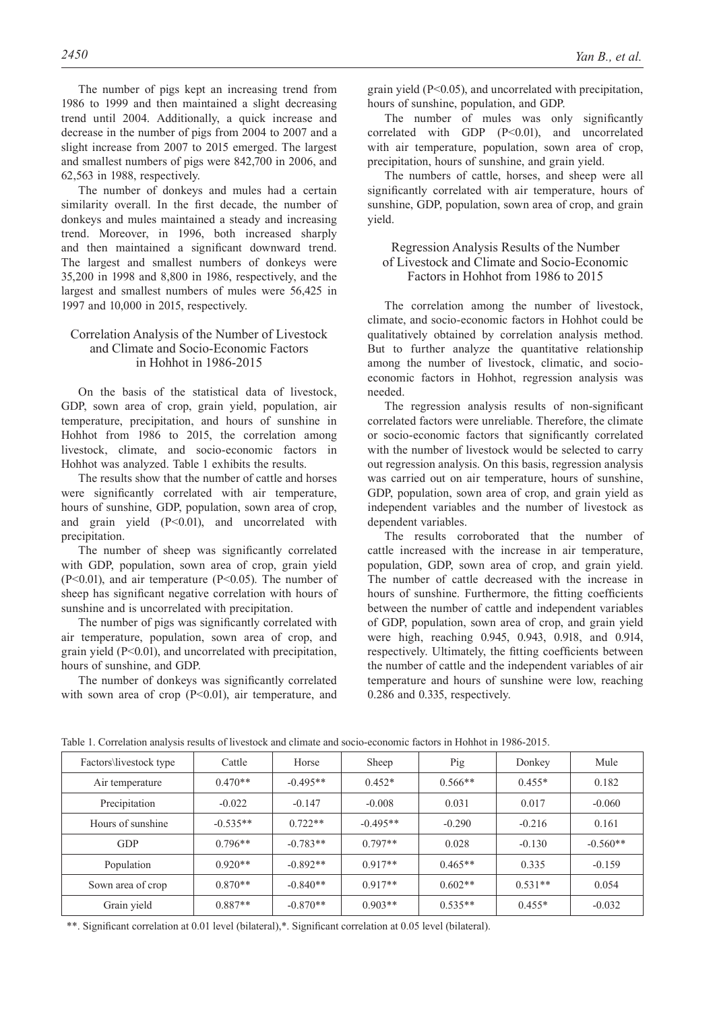The number of pigs kept an increasing trend from 1986 to 1999 and then maintained a slight decreasing trend until 2004. Additionally, a quick increase and decrease in the number of pigs from 2004 to 2007 and a slight increase from 2007 to 2015 emerged. The largest and smallest numbers of pigs were 842,700 in 2006, and 62,563 in 1988, respectively.

The number of donkeys and mules had a certain similarity overall. In the first decade, the number of donkeys and mules maintained a steady and increasing trend. Moreover, in 1996, both increased sharply and then maintained a significant downward trend. The largest and smallest numbers of donkeys were 35,200 in 1998 and 8,800 in 1986, respectively, and the largest and smallest numbers of mules were 56,425 in 1997 and 10,000 in 2015, respectively.

# Correlation Analysis of the Number of Livestock and Climate and Socio-Economic Factors in Hohhot in 1986-2015

On the basis of the statistical data of livestock, GDP, sown area of crop, grain yield, population, air temperature, precipitation, and hours of sunshine in Hohhot from 1986 to 2015, the correlation among livestock, climate, and socio-economic factors in Hohhot was analyzed. Table 1 exhibits the results.

The results show that the number of cattle and horses were significantly correlated with air temperature, hours of sunshine, GDP, population, sown area of crop, and grain yield (P<0.01), and uncorrelated with precipitation.

The number of sheep was significantly correlated with GDP, population, sown area of crop, grain yield (P<0.01), and air temperature (P<0.05). The number of sheep has significant negative correlation with hours of sunshine and is uncorrelated with precipitation.

The number of pigs was significantly correlated with air temperature, population, sown area of crop, and grain yield (P<0.01), and uncorrelated with precipitation, hours of sunshine, and GDP.

The number of donkeys was significantly correlated with sown area of crop  $(P<0.01)$ , air temperature, and grain yield (P<0.05), and uncorrelated with precipitation, hours of sunshine, population, and GDP.

The number of mules was only significantly correlated with GDP (P<0.01), and uncorrelated with air temperature, population, sown area of crop, precipitation, hours of sunshine, and grain yield.

The numbers of cattle, horses, and sheep were all significantly correlated with air temperature, hours of sunshine, GDP, population, sown area of crop, and grain yield.

Regression Analysis Results of the Number of Livestock and Climate and Socio-Economic Factors in Hohhot from 1986 to 2015

The correlation among the number of livestock, climate, and socio-economic factors in Hohhot could be qualitatively obtained by correlation analysis method. But to further analyze the quantitative relationship among the number of livestock, climatic, and socioeconomic factors in Hohhot, regression analysis was needed.

The regression analysis results of non-significant correlated factors were unreliable. Therefore, the climate or socio-economic factors that significantly correlated with the number of livestock would be selected to carry out regression analysis. On this basis, regression analysis was carried out on air temperature, hours of sunshine, GDP, population, sown area of crop, and grain yield as independent variables and the number of livestock as dependent variables.

The results corroborated that the number of cattle increased with the increase in air temperature, population, GDP, sown area of crop, and grain yield. The number of cattle decreased with the increase in hours of sunshine. Furthermore, the fitting coefficients between the number of cattle and independent variables of GDP, population, sown area of crop, and grain yield were high, reaching 0.945, 0.943, 0.918, and 0.914, respectively. Ultimately, the fitting coefficients between the number of cattle and the independent variables of air temperature and hours of sunshine were low, reaching 0.286 and 0.335, respectively.

| Factors\livestock type | Cattle     | Horse      | Sheep      | Pig       | Donkey    | Mule       |
|------------------------|------------|------------|------------|-----------|-----------|------------|
| Air temperature        | $0.470**$  | $-0.495**$ | $0.452*$   | $0.566**$ | $0.455*$  | 0.182      |
| Precipitation          | $-0.022$   | $-0.147$   | $-0.008$   | 0.031     | 0.017     | $-0.060$   |
| Hours of sunshine      | $-0.535**$ | $0.722**$  | $-0.495**$ | $-0.290$  | $-0.216$  | 0.161      |
| <b>GDP</b>             | $0.796**$  | $-0.783**$ | $0.797**$  | 0.028     | $-0.130$  | $-0.560**$ |
| Population             | $0.920**$  | $-0.892**$ | $0.917**$  | $0.465**$ | 0.335     | $-0.159$   |
| Sown area of crop      | $0.870**$  | $-0.840**$ | $0.917**$  | $0.602**$ | $0.531**$ | 0.054      |
| Grain yield            | $0.887**$  | $-0.870**$ | $0.903**$  | $0.535**$ | $0.455*$  | $-0.032$   |

Table 1. Correlation analysis results of livestock and climate and socio-economic factors in Hohhot in 1986-2015.

\*\*. Significant correlation at 0.01 level (bilateral),\*. Significant correlation at 0.05 level (bilateral).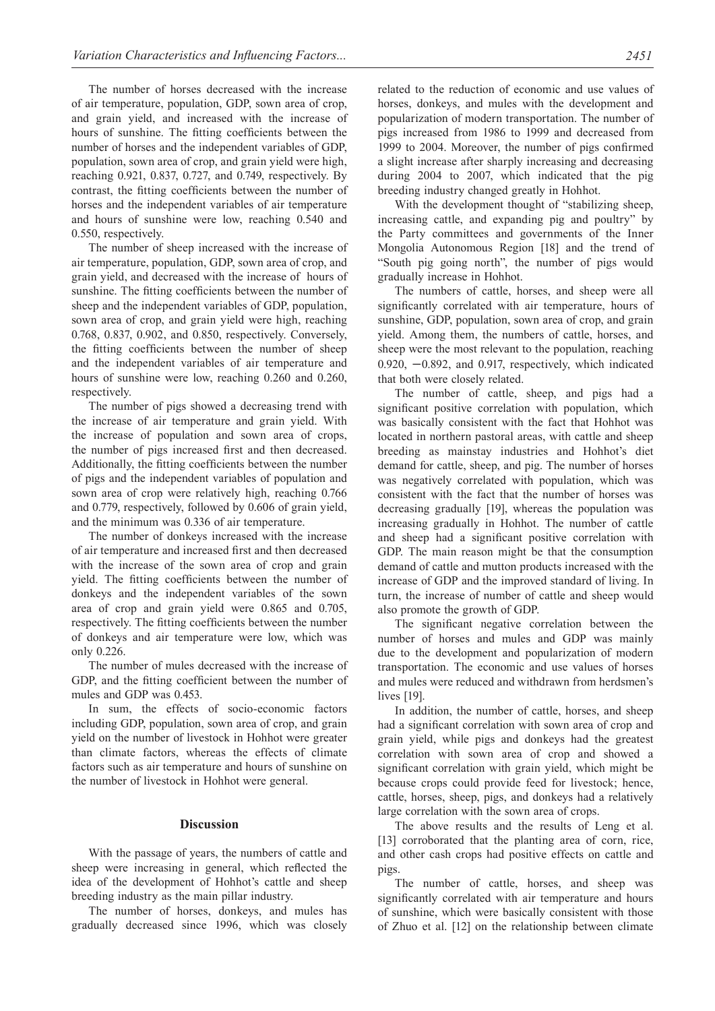The number of horses decreased with the increase of air temperature, population, GDP, sown area of crop, and grain yield, and increased with the increase of hours of sunshine. The fitting coefficients between the number of horses and the independent variables of GDP, population, sown area of crop, and grain yield were high, reaching 0.921, 0.837, 0.727, and 0.749, respectively. By contrast, the fitting coefficients between the number of horses and the independent variables of air temperature and hours of sunshine were low, reaching 0.540 and 0.550, respectively.

The number of sheep increased with the increase of air temperature, population, GDP, sown area of crop, and grain yield, and decreased with the increase of hours of sunshine. The fitting coefficients between the number of sheep and the independent variables of GDP, population, sown area of crop, and grain yield were high, reaching 0.768, 0.837, 0.902, and 0.850, respectively. Conversely, the fitting coefficients between the number of sheep and the independent variables of air temperature and hours of sunshine were low, reaching 0.260 and 0.260, respectively.

The number of pigs showed a decreasing trend with the increase of air temperature and grain yield. With the increase of population and sown area of crops, the number of pigs increased first and then decreased. Additionally, the fitting coefficients between the number of pigs and the independent variables of population and sown area of crop were relatively high, reaching 0.766 and 0.779, respectively, followed by 0.606 of grain yield, and the minimum was 0.336 of air temperature.

The number of donkeys increased with the increase of air temperature and increased first and then decreased with the increase of the sown area of crop and grain yield. The fitting coefficients between the number of donkeys and the independent variables of the sown area of crop and grain yield were 0.865 and 0.705, respectively. The fitting coefficients between the number of donkeys and air temperature were low, which was only 0.226.

The number of mules decreased with the increase of GDP, and the fitting coefficient between the number of mules and GDP was 0.453.

In sum, the effects of socio-economic factors including GDP, population, sown area of crop, and grain yield on the number of livestock in Hohhot were greater than climate factors, whereas the effects of climate factors such as air temperature and hours of sunshine on the number of livestock in Hohhot were general.

# **Discussion**

With the passage of years, the numbers of cattle and sheep were increasing in general, which reflected the idea of the development of Hohhot's cattle and sheep breeding industry as the main pillar industry.

The number of horses, donkeys, and mules has gradually decreased since 1996, which was closely related to the reduction of economic and use values of horses, donkeys, and mules with the development and popularization of modern transportation. The number of pigs increased from 1986 to 1999 and decreased from 1999 to 2004. Moreover, the number of pigs confirmed a slight increase after sharply increasing and decreasing during 2004 to 2007, which indicated that the pig breeding industry changed greatly in Hohhot.

With the development thought of "stabilizing sheep, increasing cattle, and expanding pig and poultry" by the Party committees and governments of the Inner Mongolia Autonomous Region [18] and the trend of "South pig going north", the number of pigs would gradually increase in Hohhot.

The numbers of cattle, horses, and sheep were all significantly correlated with air temperature, hours of sunshine, GDP, population, sown area of crop, and grain yield. Among them, the numbers of cattle, horses, and sheep were the most relevant to the population, reaching 0.920, −0.892, and 0.917, respectively, which indicated that both were closely related.

The number of cattle, sheep, and pigs had a significant positive correlation with population, which was basically consistent with the fact that Hohhot was located in northern pastoral areas, with cattle and sheep breeding as mainstay industries and Hohhot's diet demand for cattle, sheep, and pig. The number of horses was negatively correlated with population, which was consistent with the fact that the number of horses was decreasing gradually [19], whereas the population was increasing gradually in Hohhot. The number of cattle and sheep had a significant positive correlation with GDP. The main reason might be that the consumption demand of cattle and mutton products increased with the increase of GDP and the improved standard of living. In turn, the increase of number of cattle and sheep would also promote the growth of GDP.

The significant negative correlation between the number of horses and mules and GDP was mainly due to the development and popularization of modern transportation. The economic and use values of horses and mules were reduced and withdrawn from herdsmen's lives [19].

In addition, the number of cattle, horses, and sheep had a significant correlation with sown area of crop and grain yield, while pigs and donkeys had the greatest correlation with sown area of crop and showed a significant correlation with grain yield, which might be because crops could provide feed for livestock; hence, cattle, horses, sheep, pigs, and donkeys had a relatively large correlation with the sown area of crops.

The above results and the results of Leng et al. [13] corroborated that the planting area of corn, rice, and other cash crops had positive effects on cattle and pigs.

The number of cattle, horses, and sheep was significantly correlated with air temperature and hours of sunshine, which were basically consistent with those of Zhuo et al. [12] on the relationship between climate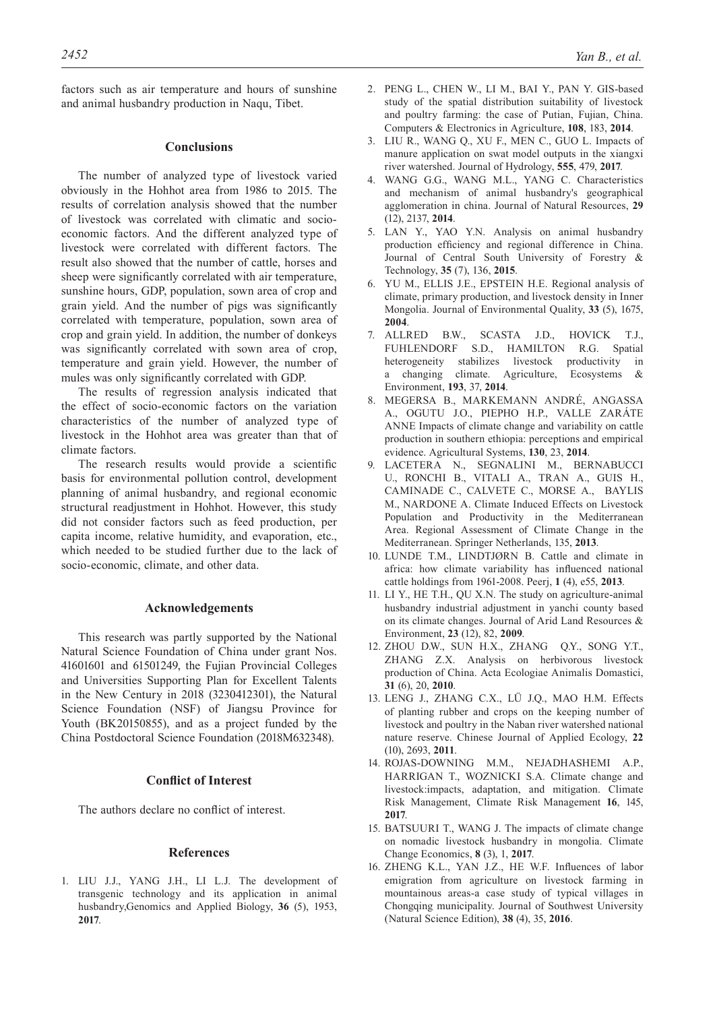factors such as air temperature and hours of sunshine and animal husbandry production in Naqu, Tibet.

## **Conclusions**

The number of analyzed type of livestock varied obviously in the Hohhot area from 1986 to 2015. The results of correlation analysis showed that the number of livestock was correlated with climatic and socioeconomic factors. And the different analyzed type of livestock were correlated with different factors. The result also showed that the number of cattle, horses and sheep were significantly correlated with air temperature, sunshine hours, GDP, population, sown area of crop and grain yield. And the number of pigs was significantly correlated with temperature, population, sown area of crop and grain yield. In addition, the number of donkeys was significantly correlated with sown area of crop, temperature and grain yield. However, the number of mules was only significantly correlated with GDP.

The results of regression analysis indicated that the effect of socio-economic factors on the variation characteristics of the number of analyzed type of livestock in the Hohhot area was greater than that of climate factors.

The research results would provide a scientific basis for environmental pollution control, development planning of animal husbandry, and regional economic structural readjustment in Hohhot. However, this study did not consider factors such as feed production, per capita income, relative humidity, and evaporation, etc., which needed to be studied further due to the lack of socio-economic, climate, and other data.

#### **Acknowledgements**

This research was partly supported by the National Natural Science Foundation of China under grant Nos. 41601601 and 61501249, the Fujian Provincial Colleges and Universities Supporting Plan for Excellent Talents in the New Century in 2018 (3230412301), the Natural Science Foundation (NSF) of Jiangsu Province for Youth (BK20150855), and as a project funded by the China Postdoctoral Science Foundation (2018M632348).

# **Conflict of Interest**

The authors declare no conflict of interest.

## **References**

1. Liu J.J., Yang J.H., Li L.J. The development of transgenic technology and its application in animal husbandry,Genomics and Applied Biology, **36** (5), 1953, **2017**.

- 2. Peng L., Chen W., Li M., Bai Y., Pan Y. GIS-based study of the spatial distribution suitability of livestock and poultry farming: the case of Putian, Fujian, China. Computers & Electronics in Agriculture, **108**, 183, **2014**.
- 3. Liu R., Wang Q., Xu F., Men C., Guo L. Impacts of manure application on swat model outputs in the xiangxi river watershed. Journal of Hydrology, **555**, 479, **2017**.
- 4. Wang G.G., Wang M.L., Yang C. Characteristics and mechanism of animal husbandry's geographical agglomeration in china. Journal of Natural Resources, **29** (12), 2137, **2014**.
- 5. Lan Y., Yao Y.N. Analysis on animal husbandry production efficiency and regional difference in China. Journal of Central South University of Forestry & Technology, **35** (7), 136, **2015**.
- 6. Yu M., Ellis J.E., Epstein H.E. Regional analysis of climate, primary production, and livestock density in Inner Mongolia. Journal of Environmental Quality, **33** (5), 1675, **2004**.
- 7. Allred B.W., Scasta J.D., Hovick T.J., Fuhlendorf S.D., Hamilton R.G. Spatial heterogeneity stabilizes livestock productivity in a changing climate. Agriculture, Ecosystems & Environment, **193**, 37, **2014**.
- 8. Megersa B., Markemann André, Angassa A., Ogutu J.O., Piepho H.P., Valle Zaráte ANNE Impacts of climate change and variability on cattle production in southern ethiopia: perceptions and empirical evidence. Agricultural Systems, **130**, 23, **2014**.
- 9. LACETERA N., SEGNALINI M., BE U., Ronchi B., Vitali A., Tran A., Guis H., Caminade C., Calvete C., Morse A., Baylis M., NARDONE A. Climate Induced Effects on Livestock Population and Productivity in the Mediterranean Area. Regional Assessment of Climate Change in the Mediterranean. Springer Netherlands, 135, **2013**.
- 10. LUNDE T.M., LINDTJØRN B. Cattle and climate in africa: how climate variability has influenced national cattle holdings from 1961-2008. Peerj, **1** (4), e55, **2013**.
- 11. Li Y., He T.H., Qu X.N. The study on agriculture-animal husbandry industrial adjustment in yanchi county based on its climate changes. Journal of Arid Land Resources & Environment, **23** (12), 82, **2009**.
- 12. Zhou D.W., Sun H.X., Zhang Q.Y., Song Y.T., ZHANG Z.X. Analysis on herbivorous livestock production of China. Acta Ecologiae Animalis Domastici, **31** (6), 20, **2010**.
- 13. Leng J., Zhang C.X., Lü J.Q., Mao H.M. Effects of planting rubber and crops on the keeping number of livestock and poultry in the Naban river watershed national nature reserve. Chinese Journal of Applied Ecology, **22** (10), 2693, **2011**.
- 14. Rojas-Downing M.M., Nejadhashemi A.P., HARRIGAN T., WOZNICKI S.A. Climate change and livestock:impacts, adaptation, and mitigation. Climate Risk Management, Climate Risk Management **16**, 145, **2017**.
- 15. BATSUURI T., WANG J. The impacts of climate change on nomadic livestock husbandry in mongolia. Climate Change Economics, **8** (3), 1, **2017**.
- 16. Zheng K.L., Yan J.Z., He W.F. Influences of labor emigration from agriculture on livestock farming in mountainous areas-a case study of typical villages in Chongqing municipality. Journal of Southwest University (Natural Science Edition), **38** (4), 35, **2016**.